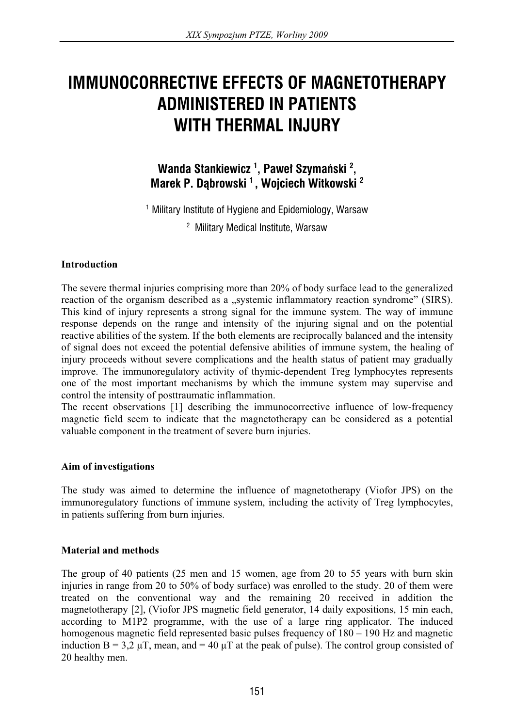# **IMMUNOCORRECTIVE EFFECTS OF MAGNETOTHERAPY ADMINISTERED IN PATIENTS WITH THERMAL INJURY**

# **Wanda Stankiewicz <sup>1</sup> , Paweï Szymañski <sup>2</sup> , Marek P. DÈbrowski <sup>1</sup> , Wojciech Witkowski <sup>2</sup>**

<sup>1</sup> Military Institute of Hygiene and Epidemiology, Warsaw <sup>2</sup> Military Medical Institute, Warsaw

### **Introduction**

The severe thermal injuries comprising more than 20% of body surface lead to the generalized reaction of the organism described as a "systemic inflammatory reaction syndrome" (SIRS). This kind of injury represents a strong signal for the immune system. The way of immune response depends on the range and intensity of the injuring signal and on the potential reactive abilities of the system. If the both elements are reciprocally balanced and the intensity of signal does not exceed the potential defensive abilities of immune system, the healing of injury proceeds without severe complications and the health status of patient may gradually improve. The immunoregulatory activity of thymic-dependent Treg lymphocytes represents one of the most important mechanisms by which the immune system may supervise and control the intensity of posttraumatic inflammation.

The recent observations [1] describing the immunocorrective influence of low-frequency magnetic field seem to indicate that the magnetotherapy can be considered as a potential valuable component in the treatment of severe burn injuries.

#### **Aim of investigations**

The study was aimed to determine the influence of magnetotherapy (Viofor JPS) on the immunoregulatory functions of immune system, including the activity of Treg lymphocytes, in patients suffering from burn injuries.

#### **Material and methods**

The group of 40 patients (25 men and 15 women, age from 20 to 55 years with burn skin injuries in range from 20 to 50% of body surface) was enrolled to the study. 20 of them were treated on the conventional way and the remaining 20 received in addition the magnetotherapy [2], (Viofor JPS magnetic field generator, 14 daily expositions, 15 min each, according to M1P2 programme, with the use of a large ring applicator. The induced homogenous magnetic field represented basic pulses frequency of  $180 - 190$  Hz and magnetic induction  $B = 3.2 \mu T$ , mean, and = 40  $\mu$ T at the peak of pulse). The control group consisted of 20 healthy men.